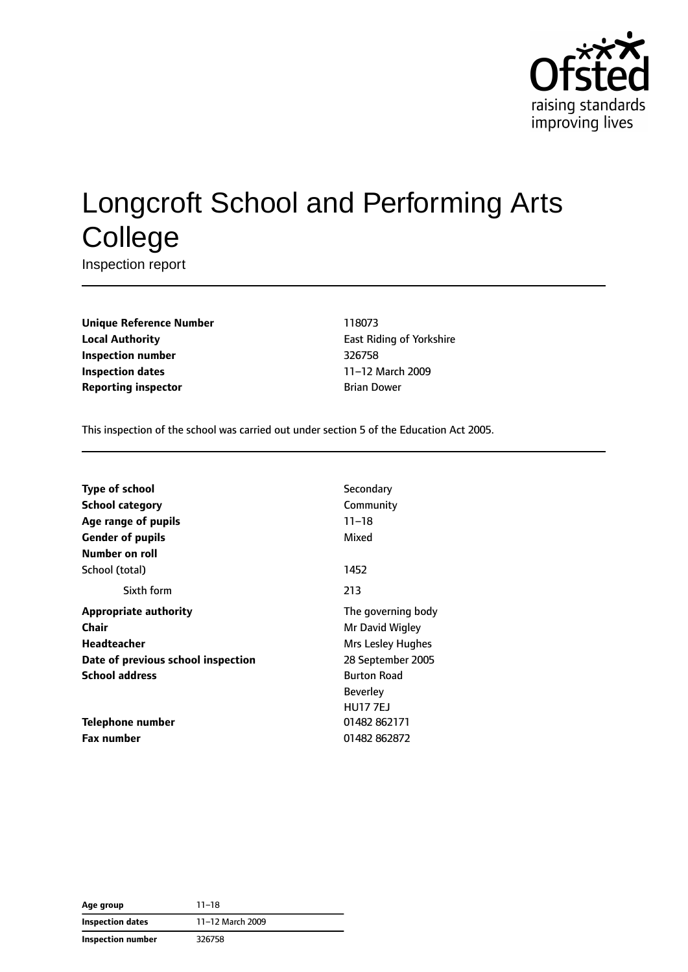

# Longcroft School and Performing Arts **College**

Inspection report

**Unique Reference Number** 118073 **Local Authority East Riding of Yorkshire Inspection number** 326758 **Inspection dates** 11–12 March 2009 **Reporting inspector Brian Dower** Brian Dower

This inspection of the school was carried out under section 5 of the Education Act 2005.

| Secondary          |
|--------------------|
| Community          |
| $11 - 18$          |
| Mixed              |
|                    |
| 1452               |
| 213                |
| The governing body |
| Mr David Wigley    |
| Mrs Lesley Hughes  |
| 28 September 2005  |
| <b>Burton Road</b> |
| <b>Beverley</b>    |
| <b>HU177EJ</b>     |
| 01482 862171       |
| 01482 862872       |
|                    |

| Age group                | $11 - 18$        |  |
|--------------------------|------------------|--|
| Inspection dates         | 11-12 March 2009 |  |
| <b>Inspection number</b> | 326758           |  |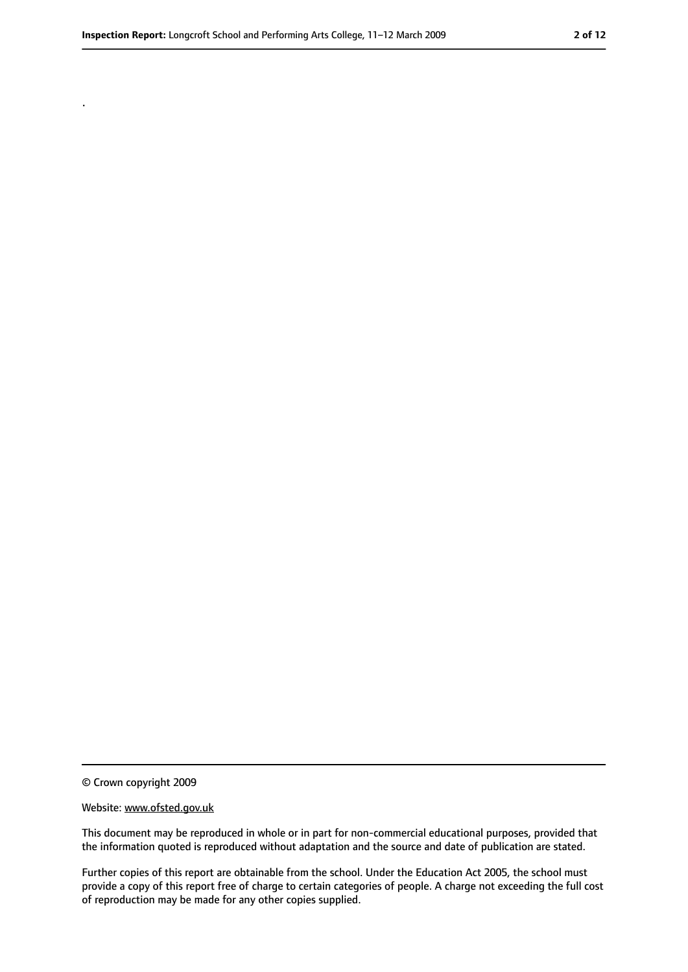.

<sup>©</sup> Crown copyright 2009

Website: www.ofsted.gov.uk

This document may be reproduced in whole or in part for non-commercial educational purposes, provided that the information quoted is reproduced without adaptation and the source and date of publication are stated.

Further copies of this report are obtainable from the school. Under the Education Act 2005, the school must provide a copy of this report free of charge to certain categories of people. A charge not exceeding the full cost of reproduction may be made for any other copies supplied.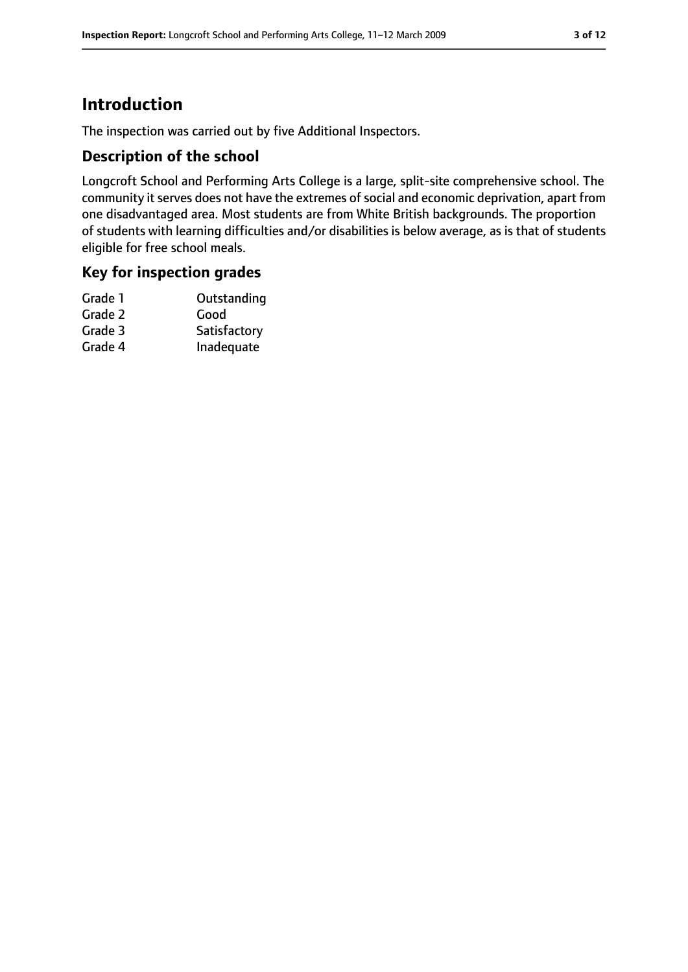## **Introduction**

The inspection was carried out by five Additional Inspectors.

#### **Description of the school**

Longcroft School and Performing Arts College is a large, split-site comprehensive school. The community it serves does not have the extremes of social and economic deprivation, apart from one disadvantaged area. Most students are from White British backgrounds. The proportion of students with learning difficulties and/or disabilities is below average, as is that of students eligible for free school meals.

#### **Key for inspection grades**

| Outstanding  |
|--------------|
| Good         |
| Satisfactory |
| Inadequate   |
|              |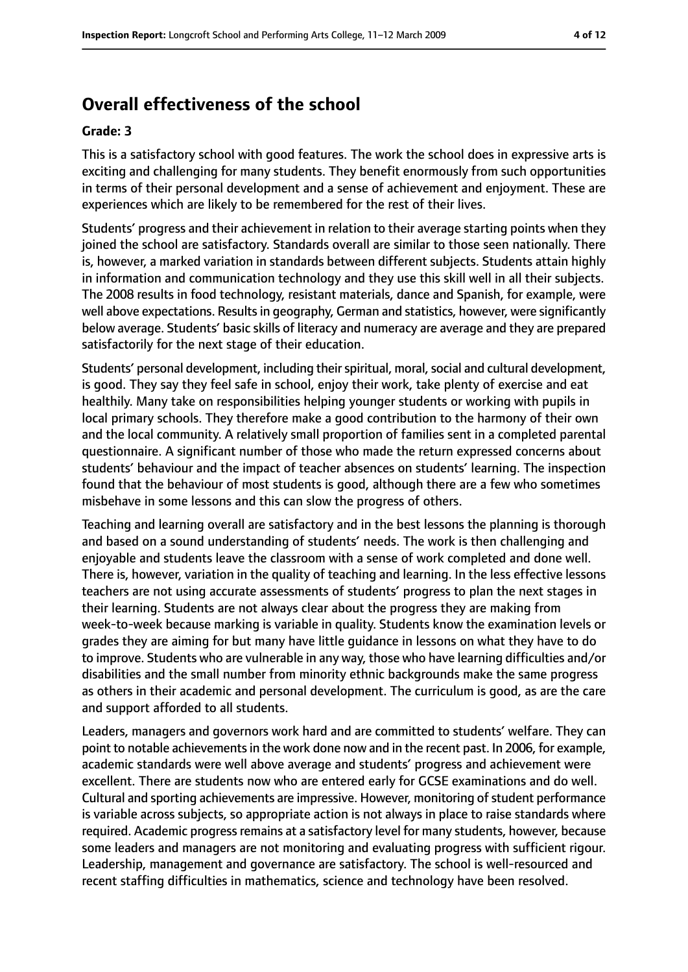## **Overall effectiveness of the school**

#### **Grade: 3**

This is a satisfactory school with good features. The work the school does in expressive arts is exciting and challenging for many students. They benefit enormously from such opportunities in terms of their personal development and a sense of achievement and enjoyment. These are experiences which are likely to be remembered for the rest of their lives.

Students' progress and their achievement in relation to their average starting points when they joined the school are satisfactory. Standards overall are similar to those seen nationally. There is, however, a marked variation in standards between different subjects. Students attain highly in information and communication technology and they use this skill well in all their subjects. The 2008 results in food technology, resistant materials, dance and Spanish, for example, were well above expectations. Results in geography, German and statistics, however, were significantly below average. Students' basic skills of literacy and numeracy are average and they are prepared satisfactorily for the next stage of their education.

Students' personal development, including their spiritual, moral, social and cultural development, is good. They say they feel safe in school, enjoy their work, take plenty of exercise and eat healthily. Many take on responsibilities helping younger students or working with pupils in local primary schools. They therefore make a good contribution to the harmony of their own and the local community. A relatively small proportion of families sent in a completed parental questionnaire. A significant number of those who made the return expressed concerns about students' behaviour and the impact of teacher absences on students' learning. The inspection found that the behaviour of most students is good, although there are a few who sometimes misbehave in some lessons and this can slow the progress of others.

Teaching and learning overall are satisfactory and in the best lessons the planning is thorough and based on a sound understanding of students' needs. The work is then challenging and enjoyable and students leave the classroom with a sense of work completed and done well. There is, however, variation in the quality of teaching and learning. In the less effective lessons teachers are not using accurate assessments of students' progress to plan the next stages in their learning. Students are not always clear about the progress they are making from week-to-week because marking is variable in quality. Students know the examination levels or grades they are aiming for but many have little guidance in lessons on what they have to do to improve. Students who are vulnerable in any way, those who have learning difficulties and/or disabilities and the small number from minority ethnic backgrounds make the same progress as others in their academic and personal development. The curriculum is good, as are the care and support afforded to all students.

Leaders, managers and governors work hard and are committed to students' welfare. They can point to notable achievementsin the work done now and in the recent past. In 2006, for example, academic standards were well above average and students' progress and achievement were excellent. There are students now who are entered early for GCSE examinations and do well. Cultural and sporting achievements are impressive. However, monitoring of student performance is variable across subjects, so appropriate action is not always in place to raise standards where required. Academic progress remains at a satisfactory level for many students, however, because some leaders and managers are not monitoring and evaluating progress with sufficient rigour. Leadership, management and governance are satisfactory. The school is well-resourced and recent staffing difficulties in mathematics, science and technology have been resolved.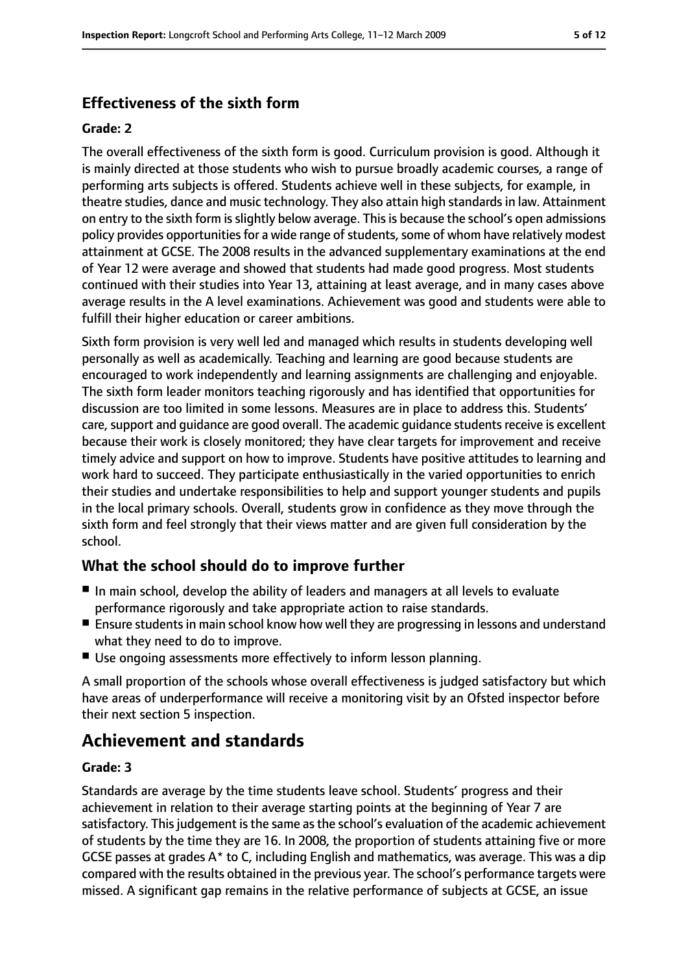#### **Effectiveness of the sixth form**

#### **Grade: 2**

The overall effectiveness of the sixth form is good. Curriculum provision is good. Although it is mainly directed at those students who wish to pursue broadly academic courses, a range of performing arts subjects is offered. Students achieve well in these subjects, for example, in theatre studies, dance and music technology. They also attain high standardsin law. Attainment on entry to the sixth form is slightly below average. This is because the school's open admissions policy provides opportunities for a wide range of students, some of whom have relatively modest attainment at GCSE. The 2008 results in the advanced supplementary examinations at the end of Year 12 were average and showed that students had made good progress. Most students continued with their studies into Year 13, attaining at least average, and in many cases above average results in the A level examinations. Achievement was good and students were able to fulfill their higher education or career ambitions.

Sixth form provision is very well led and managed which results in students developing well personally as well as academically. Teaching and learning are good because students are encouraged to work independently and learning assignments are challenging and enjoyable. The sixth form leader monitors teaching rigorously and has identified that opportunities for discussion are too limited in some lessons. Measures are in place to address this. Students' care, support and quidance are good overall. The academic quidance students receive is excellent because their work is closely monitored; they have clear targets for improvement and receive timely advice and support on how to improve. Students have positive attitudes to learning and work hard to succeed. They participate enthusiastically in the varied opportunities to enrich their studies and undertake responsibilities to help and support younger students and pupils in the local primary schools. Overall, students grow in confidence as they move through the sixth form and feel strongly that their views matter and are given full consideration by the school.

#### **What the school should do to improve further**

- In main school, develop the ability of leaders and managers at all levels to evaluate performance rigorously and take appropriate action to raise standards.
- Ensure students in main school know how well they are progressing in lessons and understand what they need to do to improve.
- Use ongoing assessments more effectively to inform lesson planning.

A small proportion of the schools whose overall effectiveness is judged satisfactory but which have areas of underperformance will receive a monitoring visit by an Ofsted inspector before their next section 5 inspection.

## **Achievement and standards**

#### **Grade: 3**

Standards are average by the time students leave school. Students' progress and their achievement in relation to their average starting points at the beginning of Year 7 are satisfactory. This judgement is the same as the school's evaluation of the academic achievement of students by the time they are 16. In 2008, the proportion of students attaining five or more GCSE passes at grades A\* to C, including English and mathematics, was average. This was a dip compared with the results obtained in the previous year. The school's performance targets were missed. A significant gap remains in the relative performance of subjects at GCSE, an issue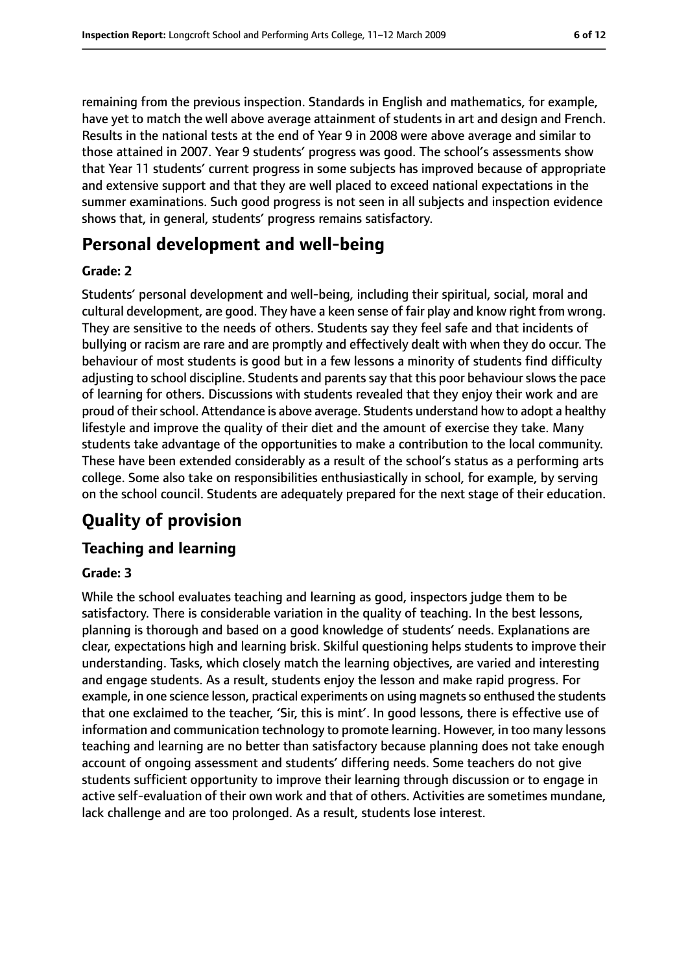remaining from the previous inspection. Standards in English and mathematics, for example, have yet to match the well above average attainment of students in art and design and French. Results in the national tests at the end of Year 9 in 2008 were above average and similar to those attained in 2007. Year 9 students' progress was good. The school's assessments show that Year 11 students' current progress in some subjects has improved because of appropriate and extensive support and that they are well placed to exceed national expectations in the summer examinations. Such good progress is not seen in all subjects and inspection evidence shows that, in general, students' progress remains satisfactory.

## **Personal development and well-being**

#### **Grade: 2**

Students' personal development and well-being, including their spiritual, social, moral and cultural development, are good. They have a keen sense of fair play and know right from wrong. They are sensitive to the needs of others. Students say they feel safe and that incidents of bullying or racism are rare and are promptly and effectively dealt with when they do occur. The behaviour of most students is good but in a few lessons a minority of students find difficulty adjusting to school discipline. Students and parents say that this poor behaviour slows the pace of learning for others. Discussions with students revealed that they enjoy their work and are proud of their school. Attendance is above average. Students understand how to adopt a healthy lifestyle and improve the quality of their diet and the amount of exercise they take. Many students take advantage of the opportunities to make a contribution to the local community. These have been extended considerably as a result of the school's status as a performing arts college. Some also take on responsibilities enthusiastically in school, for example, by serving on the school council. Students are adequately prepared for the next stage of their education.

## **Quality of provision**

#### **Teaching and learning**

#### **Grade: 3**

While the school evaluates teaching and learning as good, inspectors judge them to be satisfactory. There is considerable variation in the quality of teaching. In the best lessons, planning is thorough and based on a good knowledge of students' needs. Explanations are clear, expectations high and learning brisk. Skilful questioning helps students to improve their understanding. Tasks, which closely match the learning objectives, are varied and interesting and engage students. As a result, students enjoy the lesson and make rapid progress. For example, in one science lesson, practical experiments on using magnets so enthused the students that one exclaimed to the teacher, 'Sir, this is mint'. In good lessons, there is effective use of information and communication technology to promote learning. However, in too many lessons teaching and learning are no better than satisfactory because planning does not take enough account of ongoing assessment and students' differing needs. Some teachers do not give students sufficient opportunity to improve their learning through discussion or to engage in active self-evaluation of their own work and that of others. Activities are sometimes mundane, lack challenge and are too prolonged. As a result, students lose interest.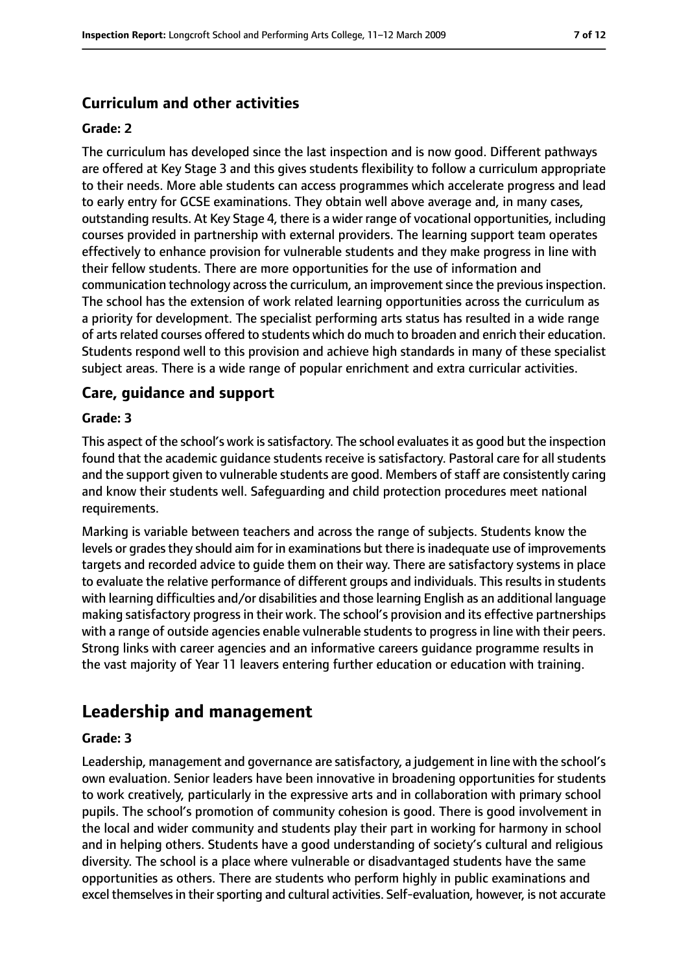#### **Curriculum and other activities**

#### **Grade: 2**

The curriculum has developed since the last inspection and is now good. Different pathways are offered at Key Stage 3 and this gives students flexibility to follow a curriculum appropriate to their needs. More able students can access programmes which accelerate progress and lead to early entry for GCSE examinations. They obtain well above average and, in many cases, outstanding results. At Key Stage 4, there is a wider range of vocational opportunities, including courses provided in partnership with external providers. The learning support team operates effectively to enhance provision for vulnerable students and they make progress in line with their fellow students. There are more opportunities for the use of information and communication technology across the curriculum, an improvement since the previous inspection. The school has the extension of work related learning opportunities across the curriculum as a priority for development. The specialist performing arts status has resulted in a wide range of artsrelated courses offered to students which do much to broaden and enrich their education. Students respond well to this provision and achieve high standards in many of these specialist subject areas. There is a wide range of popular enrichment and extra curricular activities.

#### **Care, guidance and support**

#### **Grade: 3**

This aspect of the school's work is satisfactory. The school evaluates it as good but the inspection found that the academic guidance students receive is satisfactory. Pastoral care for all students and the support given to vulnerable students are good. Members of staff are consistently caring and know their students well. Safeguarding and child protection procedures meet national requirements.

Marking is variable between teachers and across the range of subjects. Students know the levels or grades they should aim for in examinations but there is inadequate use of improvements targets and recorded advice to guide them on their way. There are satisfactory systems in place to evaluate the relative performance of different groups and individuals. This results in students with learning difficulties and/or disabilities and those learning English as an additional language making satisfactory progress in their work. The school's provision and its effective partnerships with a range of outside agencies enable vulnerable students to progress in line with their peers. Strong links with career agencies and an informative careers guidance programme results in the vast majority of Year 11 leavers entering further education or education with training.

## **Leadership and management**

#### **Grade: 3**

Leadership, management and governance are satisfactory, a judgement in line with the school's own evaluation. Senior leaders have been innovative in broadening opportunities for students to work creatively, particularly in the expressive arts and in collaboration with primary school pupils. The school's promotion of community cohesion is good. There is good involvement in the local and wider community and students play their part in working for harmony in school and in helping others. Students have a good understanding of society's cultural and religious diversity. The school is a place where vulnerable or disadvantaged students have the same opportunities as others. There are students who perform highly in public examinations and excel themselves in their sporting and cultural activities. Self-evaluation, however, is not accurate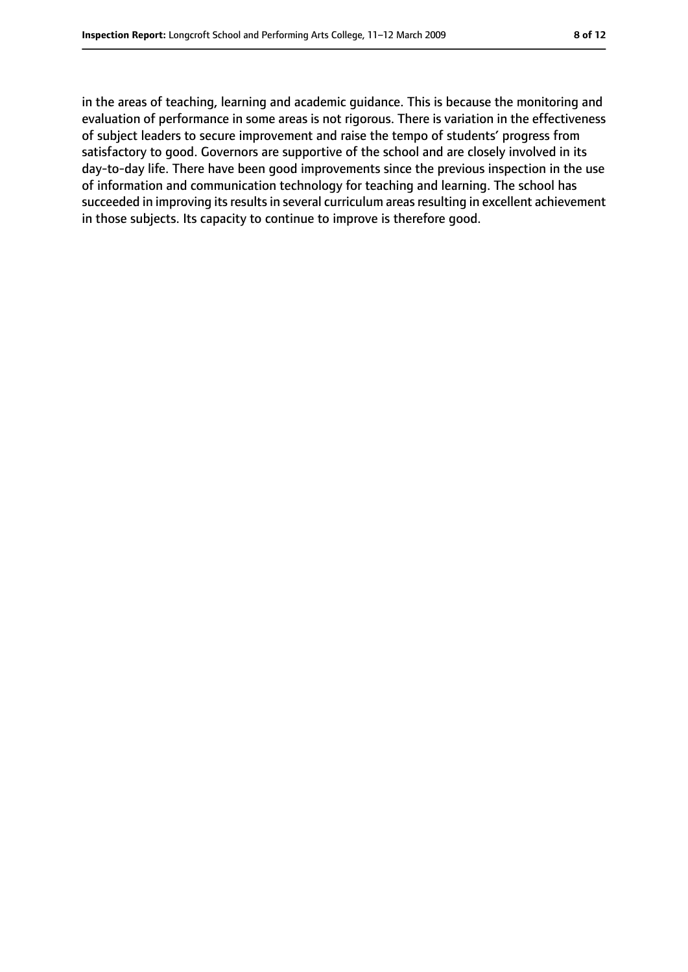in the areas of teaching, learning and academic guidance. This is because the monitoring and evaluation of performance in some areas is not rigorous. There is variation in the effectiveness of subject leaders to secure improvement and raise the tempo of students' progress from satisfactory to good. Governors are supportive of the school and are closely involved in its day-to-day life. There have been good improvements since the previous inspection in the use of information and communication technology for teaching and learning. The school has succeeded in improving its results in several curriculum areas resulting in excellent achievement in those subjects. Its capacity to continue to improve is therefore good.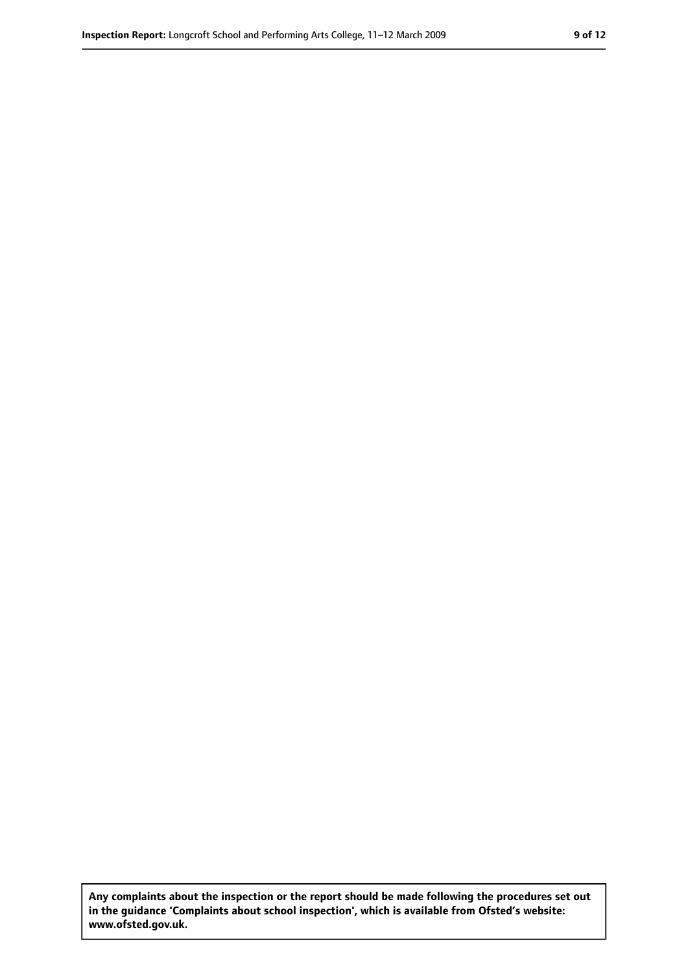**Any complaints about the inspection or the report should be made following the procedures set out in the guidance 'Complaints about school inspection', which is available from Ofsted's website: www.ofsted.gov.uk.**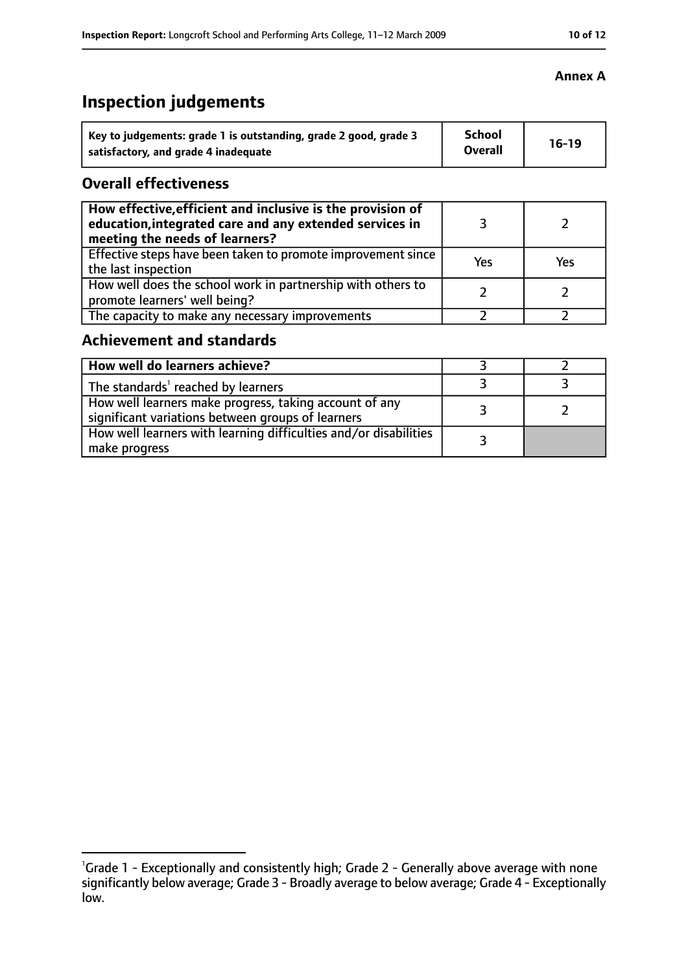## **Inspection judgements**

| Key to judgements: grade 1 is outstanding, grade 2 good, grade 3 | <b>School</b>  | $16-19$ |
|------------------------------------------------------------------|----------------|---------|
| satisfactory, and grade 4 inadequate                             | <b>Overall</b> |         |

#### **Overall effectiveness**

| How effective, efficient and inclusive is the provision of<br>education, integrated care and any extended services in<br>meeting the needs of learners? |     |     |
|---------------------------------------------------------------------------------------------------------------------------------------------------------|-----|-----|
| Effective steps have been taken to promote improvement since<br>the last inspection                                                                     | Yes | Yes |
| How well does the school work in partnership with others to<br>promote learners' well being?                                                            |     |     |
| The capacity to make any necessary improvements                                                                                                         |     |     |

## **Achievement and standards**

| How well do learners achieve?                                                                               |  |
|-------------------------------------------------------------------------------------------------------------|--|
| The standards <sup>1</sup> reached by learners                                                              |  |
| How well learners make progress, taking account of any<br>significant variations between groups of learners |  |
| How well learners with learning difficulties and/or disabilities<br>make progress                           |  |

#### **Annex A**

<sup>&</sup>lt;sup>1</sup>Grade 1 - Exceptionally and consistently high; Grade 2 - Generally above average with none significantly below average; Grade 3 - Broadly average to below average; Grade 4 - Exceptionally low.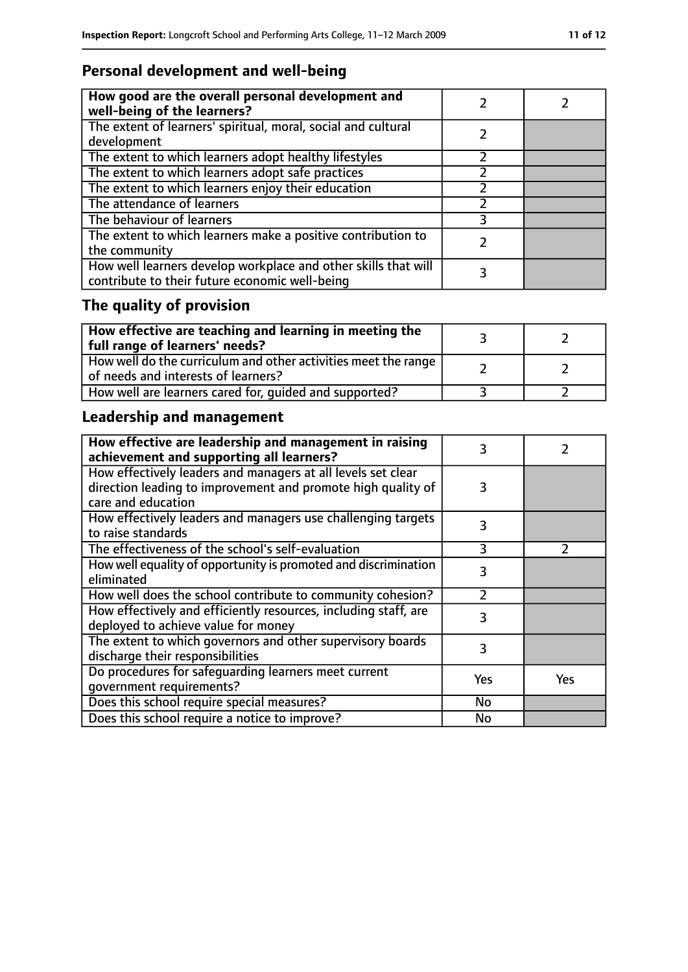## **Personal development and well-being**

| How good are the overall personal development and<br>well-being of the learners?                                 |  |
|------------------------------------------------------------------------------------------------------------------|--|
| The extent of learners' spiritual, moral, social and cultural<br>development                                     |  |
| The extent to which learners adopt healthy lifestyles                                                            |  |
| The extent to which learners adopt safe practices                                                                |  |
| The extent to which learners enjoy their education                                                               |  |
| The attendance of learners                                                                                       |  |
| The behaviour of learners                                                                                        |  |
| The extent to which learners make a positive contribution to<br>the community                                    |  |
| How well learners develop workplace and other skills that will<br>contribute to their future economic well-being |  |

## **The quality of provision**

| $\mid$ How effective are teaching and learning in meeting the<br>full range of learners' needs?       |  |
|-------------------------------------------------------------------------------------------------------|--|
| How well do the curriculum and other activities meet the range<br>of needs and interests of learners? |  |
| How well are learners cared for, quided and supported?                                                |  |

## **Leadership and management**

| How effective are leadership and management in raising<br>achievement and supporting all learners? | 3         |               |
|----------------------------------------------------------------------------------------------------|-----------|---------------|
| How effectively leaders and managers at all levels set clear                                       |           |               |
| direction leading to improvement and promote high quality of<br>care and education                 | 3         |               |
|                                                                                                    |           |               |
| How effectively leaders and managers use challenging targets                                       | 3         |               |
| to raise standards                                                                                 |           |               |
| The effectiveness of the school's self-evaluation                                                  | 3         | $\mathcal{P}$ |
| How well equality of opportunity is promoted and discrimination                                    | 3         |               |
| eliminated                                                                                         |           |               |
| How well does the school contribute to community cohesion?                                         | フ         |               |
| How effectively and efficiently resources, including staff, are                                    | 3         |               |
| deployed to achieve value for money                                                                |           |               |
| The extent to which governors and other supervisory boards                                         | 3         |               |
| discharge their responsibilities                                                                   |           |               |
| Do procedures for safeguarding learners meet current                                               | Yes       | Yes           |
| qovernment requirements?                                                                           |           |               |
| Does this school require special measures?                                                         | <b>No</b> |               |
| Does this school require a notice to improve?                                                      | No        |               |